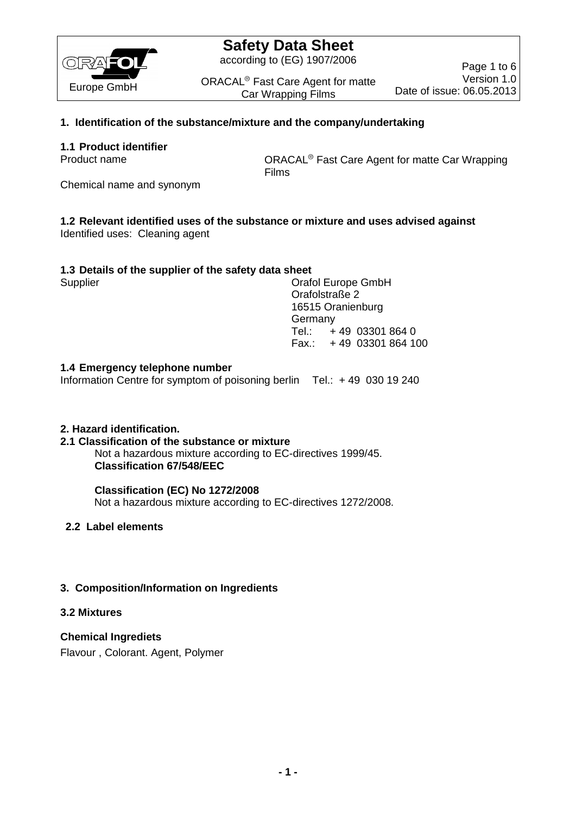

# **Safety Data Sheet**

according to (EG) 1907/2006

ORACAL<sup>®</sup> Fast Care Agent for matte Car Wrapping Films

Page 1 to 6 Version 1.0 Date of issue: 06.05.2013

# **1. Identification of the substance/mixture and the company/undertaking**

## **1.1 Product identifier**

Product name **Carry Connect Care Agent for matte Car Wrapping** CRACAL<sup>®</sup> Fast Care Agent for matte Car Wrapping Films

Chemical name and synonym

# **1.2 Relevant identified uses of the substance or mixture and uses advised against**

Identified uses: Cleaning agent

## **1.3 Details of the supplier of the safety data sheet**

Supplier Current Constants Craft Current Constants Craft Current Constants Craft Current Current Current Current Current Current Current Current Current Current Current Current Current Current Current Current Current Curre Orafolstraße 2 16515 Oranienburg Germany Tel.: + 49 03301 864 0 Fax.: + 49 03301 864 100

## **1.4 Emergency telephone number**

Information Centre for symptom of poisoning berlin Tel.: + 49 030 19 240

### **2. Hazard identification.**

### **2.1 Classification of the substance or mixture**

Not a hazardous mixture according to EC-directives 1999/45. **Classification 67/548/EEC**

### **Classification (EC) No 1272/2008**

Not a hazardous mixture according to EC-directives 1272/2008.

# **2.2 Label elements**

# **3. Composition/Information on Ingredients**

### **3.2 Mixtures**

**Chemical Ingrediets**  Flavour , Colorant. Agent, Polymer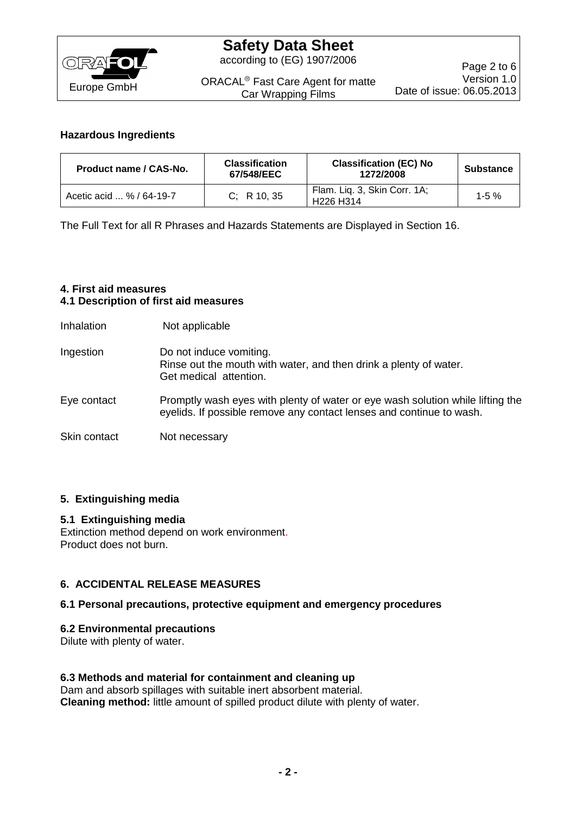

## **Hazardous Ingredients**

| Product name / CAS-No.   | <b>Classification</b><br>67/548/EEC | <b>Classification (EC) No</b><br>1272/2008                        | <b>Substance</b> |
|--------------------------|-------------------------------------|-------------------------------------------------------------------|------------------|
| Acetic acid  % / 64-19-7 | C: R10.35                           | Flam. Liq. 3, Skin Corr. 1A;<br>H <sub>226</sub> H <sub>314</sub> | $1 - 5 \%$       |

The Full Text for all R Phrases and Hazards Statements are Displayed in Section 16.

## **4. First aid measures 4.1 Description of first aid measures**

Inhalation Not applicable

Ingestion Do not induce vomiting. Rinse out the mouth with water, and then drink a plenty of water. Get medical attention.

- Eye contact Promptly wash eyes with plenty of water or eye wash solution while lifting the eyelids. If possible remove any contact lenses and continue to wash.
- Skin contact Not necessary

# **5. Extinguishing media**

### **5.1 Extinguishing media**

Extinction method depend on work environment. Product does not burn.

### **6. ACCIDENTAL RELEASE MEASURES**

### **6.1 Personal precautions, protective equipment and emergency procedures**

#### **6.2 Environmental precautions**

Dilute with plenty of water.

## **6.3 Methods and material for containment and cleaning up**

Dam and absorb spillages with suitable inert absorbent material. **Cleaning method:** little amount of spilled product dilute with plenty of water.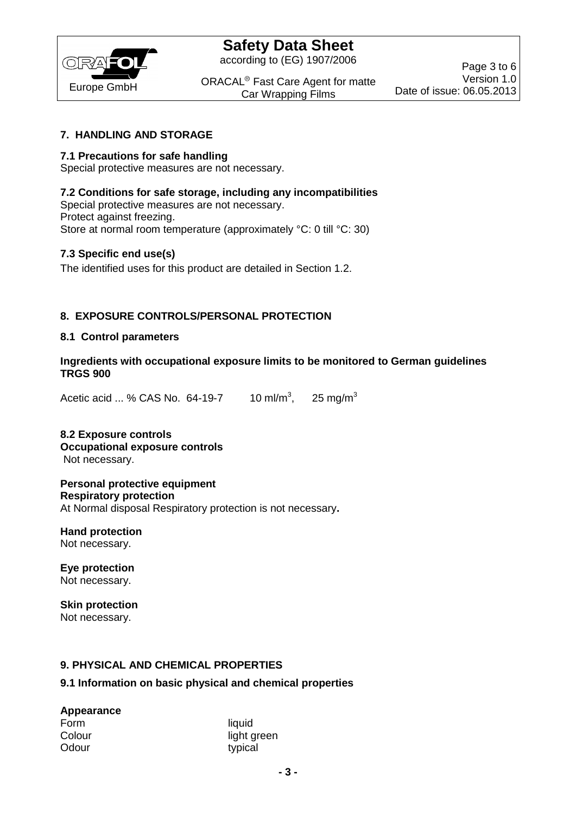

according to (EG) 1907/2006

ORACAL<sup>®</sup> Fast Care Agent for matte Car Wrapping Films

## **7. HANDLING AND STORAGE**

## **7.1 Precautions for safe handling**

Special protective measures are not necessary.

## **7.2 Conditions for safe storage, including any incompatibilities**

Special protective measures are not necessary. Protect against freezing. Store at normal room temperature (approximately °C: 0 till °C: 30)

## **7.3 Specific end use(s)**

The identified uses for this product are detailed in Section 1.2.

# **8. EXPOSURE CONTROLS/PERSONAL PROTECTION**

### **8.1 Control parameters**

**Ingredients with occupational exposure limits to be monitored to German guidelines TRGS 900**

Acetic acid ... % CAS No.  $64-19-7$  10 ml/m<sup>3</sup>, 25 mg/ $m<sup>3</sup>$ 

### **8.2 Exposure controls Occupational exposure controls** Not necessary.

**Personal protective equipment Respiratory protection** At Normal disposal Respiratory protection is not necessary**.**

**Hand protection** Not necessary.

**Eye protection** Not necessary.

**Skin protection** Not necessary.

### **9. PHYSICAL AND CHEMICAL PROPERTIES**

### **9.1 Information on basic physical and chemical properties**

### **Appearance**

| Form   |  |
|--------|--|
| Colour |  |
| Odour  |  |

liquid light green typical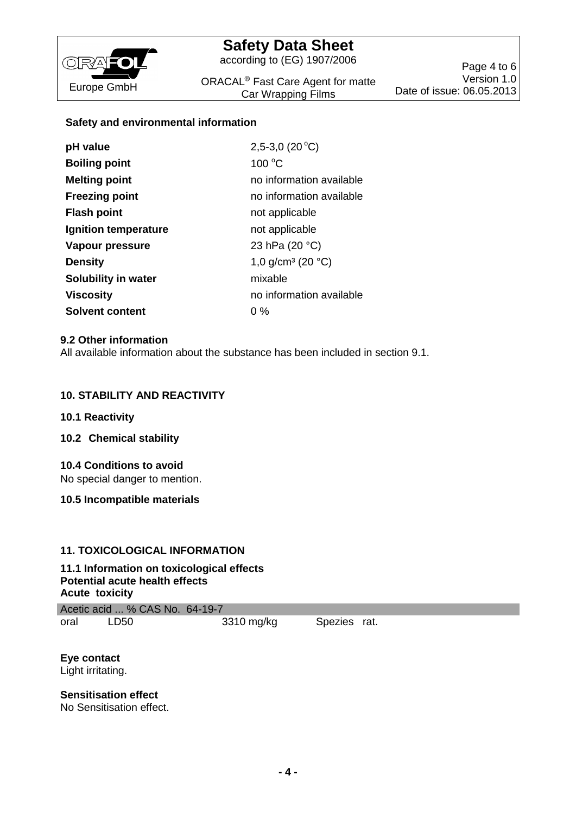

# **Safety Data Sheet**

according to (EG) 1907/2006

ORACAL<sup>®</sup> Fast Care Agent for matte Car Wrapping Films

## **Safety and environmental information**

| pH value                   | 2,5-3,0 $(20^{\circ}C)$                 |
|----------------------------|-----------------------------------------|
| <b>Boiling point</b>       | 100 °C                                  |
| <b>Melting point</b>       | no information available                |
| <b>Freezing point</b>      | no information available                |
| <b>Flash point</b>         | not applicable                          |
| Ignition temperature       | not applicable                          |
| Vapour pressure            | 23 hPa (20 °C)                          |
| <b>Density</b>             | 1,0 g/cm <sup>3</sup> (20 $^{\circ}$ C) |
| <b>Solubility in water</b> | mixable                                 |
| Viscosity                  | no information available                |
| <b>Solvent content</b>     | $0\%$                                   |

### **9.2 Other information**

All available information about the substance has been included in section 9.1.

## **10. STABILITY AND REACTIVITY**

### **10.1 Reactivity**

**10.2 Chemical stability**

### **10.4 Conditions to avoid**

No special danger to mention.

**10.5 Incompatible materials**

### **11. TOXICOLOGICAL INFORMATION**

### **11.1 Information on toxicological effects Potential acute health effects Acute toxicity**

Acetic acid ... % CAS No. 64-19-7 oral LD50 3310 mg/kg Spezies rat.

**Eye contact**  Light irritating.

**Sensitisation effect**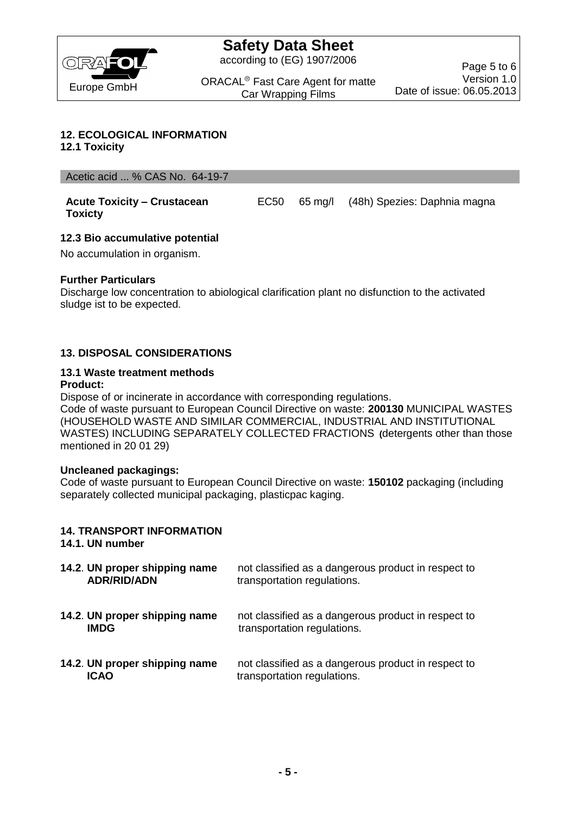

according to (EG) 1907/2006

ORACAL<sup>®</sup> Fast Care Agent for matte Car Wrapping Films

## **12. ECOLOGICAL INFORMATION**

**12.1 Toxicity**

Acetic acid ... % CAS No. 64-19-7

**Acute Toxicity – Crustacean Toxicty**  EC50 65 mg/l (48h) Spezies: Daphnia magna

## **12.3 Bio accumulative potential**

No accumulation in organism.

### **Further Particulars**

Discharge low concentration to abiological clarification plant no disfunction to the activated sludge ist to be expected.

# **13. DISPOSAL CONSIDERATIONS**

#### **13.1 Waste treatment methods Product:**

Dispose of or incinerate in accordance with corresponding regulations. Code of waste pursuant to European Council Directive on waste: **200130** MUNICIPAL WASTES (HOUSEHOLD WASTE AND SIMILAR COMMERCIAL, INDUSTRIAL AND INSTITUTIONAL WASTES) INCLUDING SEPARATELY COLLECTED FRACTIONS **(**detergents other than those mentioned in 20 01 29)

### **Uncleaned packagings:**

Code of waste pursuant to European Council Directive on waste: **150102** packaging (including separately collected municipal packaging, plasticpac kaging.

# **14. TRANSPORT INFORMATION**

### **14.1. UN number**

| 14.2. UN proper shipping name<br><b>ADR/RID/ADN</b> | not classified as a dangerous product in respect to<br>transportation regulations. |
|-----------------------------------------------------|------------------------------------------------------------------------------------|
| 14.2. UN proper shipping name<br><b>IMDG</b>        | not classified as a dangerous product in respect to<br>transportation regulations. |
| 14.2. UN proper shipping name<br><b>ICAO</b>        | not classified as a dangerous product in respect to<br>transportation regulations. |